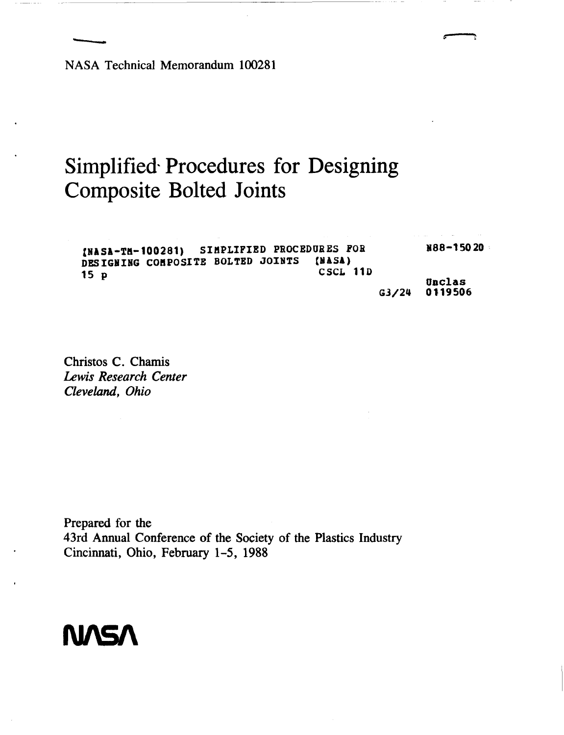ASA Technics **NASA Technical Memorandum 100281** 

# **Simplified Procedures for Designing Composite Bolted Joints**

**INASA-TH-100281)** SIMPLIFIED PROCEDURES FOR N88-15020 **DESIGIJIIC COnPOSITE BOLTED JOINTS (NASA) CSCL 11D Uoclas 1s P G3/24 0119506** 

**Christos C. Chamis**  *Lewis Research Center Cleveland, Ohio* 

**Prepared for the 43rd Annual Conference of the Society** of **the Plastics Industry Cincinnati, Ohio, February 1-5, 1988** 

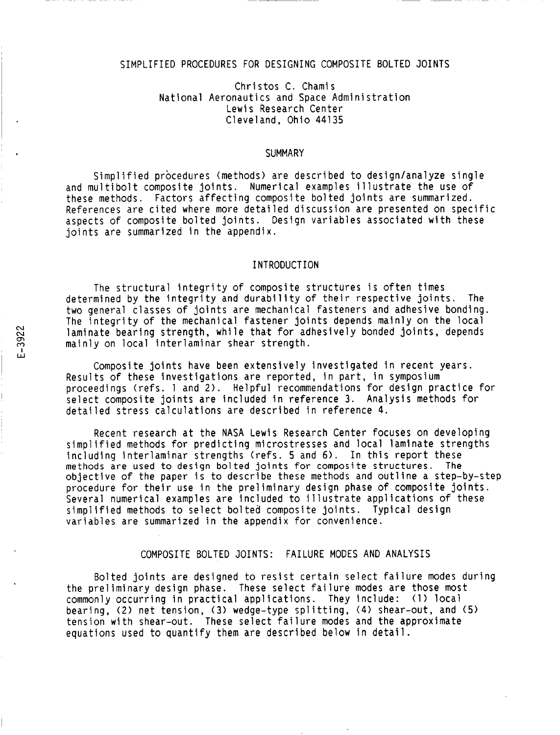## SIMPLIFIED PROCEDURES FOR DESIGNING COMPOSITE BOLTED JOINTS

## Christos C. Chamis National Aeronautics and Space Administration Lewis Research Center Cleveland, Ohio 44135

#### **SUMMARY**

Simplified procedures (methods) are described to design/analyze single and multibolt composite joints. Numerical examples illustrate the use of these methods. Factors affecting composite bolted joints are summarized. References are cited where more detailed discussion are presented on specific aspects of composite bolted joints. Design variables associated with these joints are summarized in the appendix.

#### INTRODUCTION

The structural integrity of composite structures is often times determined by the integrity and durability of their respective joints. The two general classes of joints are mechanical fasteners and adhesive bonding. The integrity of the mechanical fastener joints depends mainly on the local laminate bearing strength, while that for adhesively bonded joints, depends mainly on local interlaminar shear strength. **<sup>I</sup>**

Composite joints have been extensively investigated in recent years. Results of these investigations are reported, in part, in symposium proceedings (refs. 1 and 2). Helpful recommendations for design practice for select composite joints are included in reference 3. Analysis methods for detailed stress calculations are described in reference **4.** 

Recent research at the NASA Lewis Research Center focuses on developing simplified methods for predicting microstresses and local laminate strengths including interlaminar strengths (refs. 5 and **6).** In this report these **methods are used to design bolted** joints **for composite structures. The**  objective of the paper is to describe these methods and outline a step-by-step procedure for their use in the preliminary design phase of composite joints. Several numerical examples are included to illustrate applications of these simplified methods to select bolted composite joints. Typical design variables are summarized in the appendix for convenience.

# COMPOSITE BOLTED JOINTS: FAILURE MODES AND ANALYSIS

Bolted joints are designed to resist certain select failure modes during the preliminary design phase. These select failure modes are those most commonly occurring in practical applications. They include: (1) local bearing, (2) net tension, **(3)** wedge-type splitting, **(4)** shear-out, and **(5)**  tension with shear-out. These select failure modes and the approximate equations used to quantify them are described below in detail.

**I. S. Program and Advisory Contracts**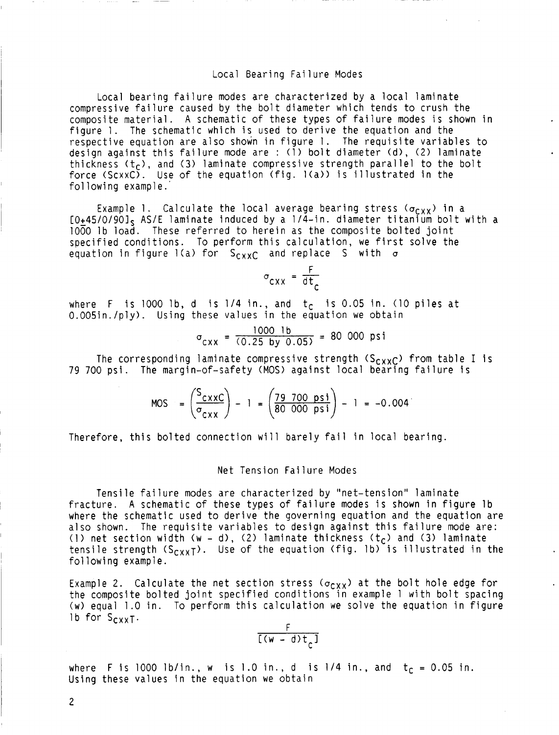#### Local Bearing Failure Modes

Local bearing failure modes are characterized by a local laminate compressive failure caused by the bolt diameter which tends to crush the composite material. A schematic of these types of failure modes is shown in figure 1. The schematic which is used to derive the equation and the respective equation are also shown in figure 1. The requisite variables to design against this failure mode are : (1) bolt diameter (d), (2) laminate thickness (t<sub>c</sub>), and (3) laminate compressive strength parallel to the bolt force (ScxxC). Use of the equation (fig.  $l(a)$ ) is illustrated in the following example.'

Example 1. Calculate the local average bearing stress ( $\sigma_{CXX}$ ) in a [O+45/O/901s AS/E laminate induced by a 1/4-in. diameter titanium bolt with a 1000 lb load. These referred to herein as the composite bolted joint specified conditions. To perform this calculation, we first solve the equation in figure 1(a) for S<sub>CXXC</sub> and replace S with  $\sigma$ 

$$
\sigma_{cxx} = \frac{F}{dt_c}
$$

where F is 1000 lb, d is  $1/4$  in., and  $t_c$  is 0.05 in. (10 piles at 0.005in./ply). Using these values in the equation we obtain

 $\sigma_{\text{CXX}} = \frac{1000 \text{ lb}}{(0.25 \text{ by } 0.05)} = 80\text{ 000 psi}$ 

The corresponding laminate compressive strength  $(S_{c,XXC})$  from table I is 79 700 psi. The margin-of-safety (MOS) against local bearing failure is

MOS =  $\left(\frac{S_{\text{CXXC}}}{\sigma_{\text{CXX}}} \right)$  - 1 =  $\left(\frac{79\,700\,psi}{80\,000\,psi} \right)$  - 1 = -0.004

Therefore, this bolted connection will barely fail in local bearing.

#### Net Tension Failure Modes

Tensile failure modes are characterized by "net-tension" laminate fracture. **A** schematic of these types of failure modes is shown in figure lb where the schematic used to derive the governing equation and the equation are also shown. The requisite variables to design against this failure mode are: (1) net section width (w - d), (2) laminate thickness (t<sub>C</sub>) and (3) laminate tensile strength (S<sub>CXXT</sub>). Use of the equation (fig. 1b) is illustrated in the following example.

Example **2.**  the composite bolted joint specified conditions in example 1 with bolt spacing (w) equal 1.0 in. To perform this calculation we solve the equation in figure lb for  $S_{CXX}$ . Calculate the net section stress ( $\sigma_{\text{CXX}}$ ) at the bolt hole edge for  $\,$ 

$$
\frac{F}{[(w - d)t_c]}
$$

where F is 1000 lb/in., w is 1.0 in., d is 1/4 in., and  $t_c = 0.05$  in. Using these values in the equation we obtain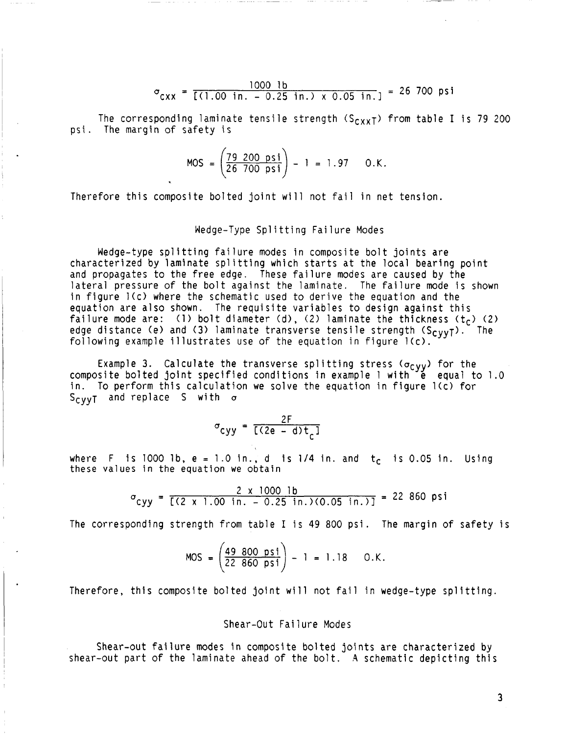$$
\sigma_{\text{CXX}} = \frac{1000 \text{ lb}}{[(1.00 \text{ in.} - 0.25 \text{ in.}) \times 0.05 \text{ in.}]} = 26 \text{ 700 psi}
$$

The corresponding laminate tensile strength  $(S_{cxx}^T)$  from table I is 79 200 psi. The margin of safety is

$$
MOS = \left(\frac{79 \ 200 \ \text{psi}}{26 \ 700 \ \text{psi}}\right) - 1 = 1.97 \quad 0.K.
$$

Therefore this composite bolted joint will not fail in net tension.

## Wedge-Type Splitting Failure Modes

Wedge-type splitting failure modes in composite bolt joints are characterized by laminate splitting which starts at the local bearing point and propagates to the free edge. These failure modes are caused by the lateral pressure of the bolt against the laminate. The failure mode is shown in figure l(c) where the schematic used to derive the equation and the equation are also shown. The requisite variables *to* design against this failure mode are: (1) bolt diameter (d), (2) laminate the thickness ( $t_c$ ) (2) edge distance (e) and **(3)** laminate transverse tensile strength (Scyy~). following example illustrates use of the equation in figure l(c). The

Example 3. Calculate the transverse splitting stress ( $\sigma_{CVV}$ ) for the composite bolted joint specified conditions in example 1 with  $\vec{e}$  equal to 1.0 in. To perform this calculation we solve the equation in figure l(c) for Scyy~ and replace **S** with *o* 

$$
\sigma_{\text{cyy}} = \frac{2F}{[(2e - d)t_c]}
$$

where F is 1000 lb,  $e = 1.0$  in., d is 1/4 in. and  $t_c$  is 0.05 in. Using these values in the equation we obtain

$$
\sigma_{\text{cyy}} = \frac{2 \times 1000 \text{ lb}}{[(2 \times 1.00 \text{ in.} - 0.25 \text{ in.})(0.05 \text{ in.})]} = 22\ 860 \text{ psi}
$$

The corresponding strength from table I is 49 800 psi. The margin of safety is

$$
MOS = \left(\frac{49\ 800\ \text{psi}}{22\ 860\ \text{psi}}\right) - 1 = 1.18\qquad 0.K.
$$

Therefore, this composite bolted joint will not fail in wedge-type splitting.

# Shear-Out Failure Modes

Shear-out failure modes in composite bolted joints are characterized by shear-out part of the laminate ahead of the bolt. **\*4** schematic depicting this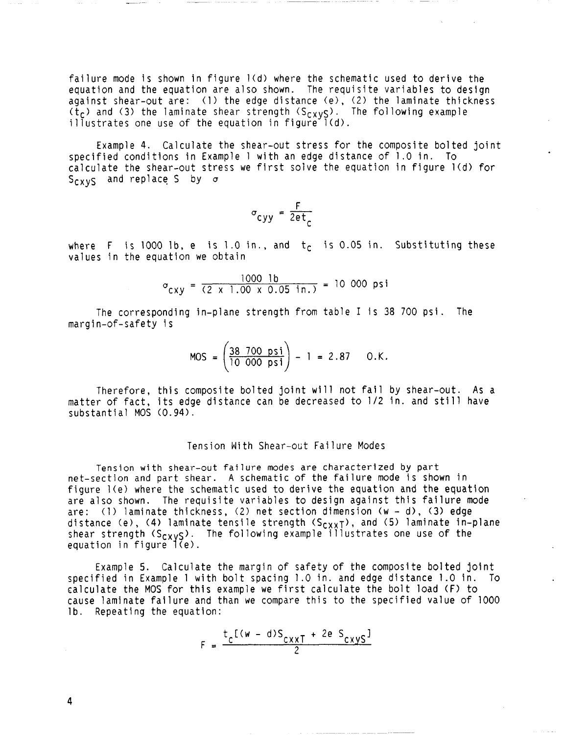failure mode is shown in figure  $1(d)$  where the schematic used to derive the equation and the equation are also shown. The requisite variables to design against shear-out are: (1) the edge distance (e), **(21** the laminate thickness (t<sub>C</sub>) and (3) the laminate shear strength (S<sub>CXVS</sub>). The following example illustrates one use of the equation in figure  $l(d)$ .

Example **4.** Calculate the shear-out stress for the composite bolted joint specified conditions in Example 1 with an edge distance of 1.0 in. To calculate the shear-out stress we first solve the equation in figure 1(d) for  $S_{C X V S}$  and replace S by  $\sigma$ 

$$
\sigma_{\text{cyy}} = \frac{F}{2et_c}
$$

where F is 1000 lb, e is 1.0 in., and  $t<sub>c</sub>$  is 0.05 in. Substituting these values in the equation we obtain

$$
\sigma_{cxy} = \frac{1000 \text{ lb}}{(2 \times 1.00 \times 0.05 \text{ in.})} = 10000 \text{ psi}
$$

The corresponding in-plane strength from table I is 38 700 psi. The margin-of-safety is

$$
MOS = \left(\frac{38 \ 700 \ \text{psi}}{10 \ 000 \ \text{psi}}\right) - 1 = 2.87 \ 0.K.
$$

Therefore, this composite bolted joint will not fail by shear-out. As a matter of fact, its edge distance can be decreased to 1/2 in. and still have substantial MOS (0.94).

## Tension With Shear-out Failure Modes

**Tension with shear-out failure modes are characterized by part**  net-section and part shear. A schematic of the failure mode is shown in figure l(e) where the schematic used to derive the equation and the equation are also shown. The requisite variables to design against this failure mode are: (11 laminate thickness, (2) net section dimension (w - d), **(3)** edge distance (e), (4) laminate tensile strength (S<sub>CXXT</sub>), and (5) laminate in-plane shear strength (S<sub>CXVS</sub>). The following example illustrates one use of the equation in figure ((e)

Example 5. Calculate the margin of safety of the composite bolted joint specified in Example 1 with bolt spacing 1.0 in. and edge distance 1.0 in. To calculate the MOS for this example we first calculate the bolt load (F) to cause laminate failure and than we compare this to the specified value of 1000 lb. Repeating the equation:

$$
F = \frac{t_c [(w - d)S_{cxxT} + 2e S_{cxyS}]}{2}
$$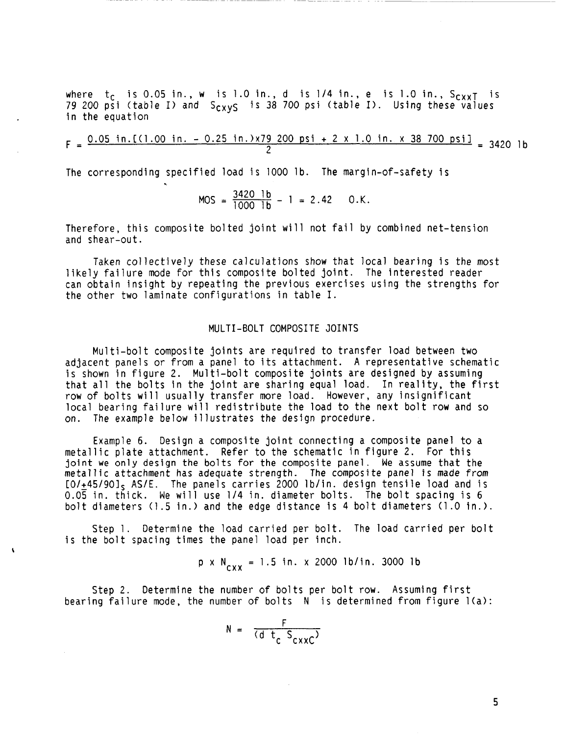where  $t_c$  is 0.05 in., w is 1.0 in., d is  $1/4$  in., e is 1.0 in.,  $S_{cxx}$  is where t<sub>C</sub> is 0.05 in., w is 1.0 in., d is 1/4 in., e is 1.0 in., S<sub>CXXT</sub> i:<br>79 200 psi (table I) and S<sub>CXYS</sub> is 38 700 psi (table I). Using these values in the equation

0.05 in.[(1.00 in. - 0.25 in.)x79 200 psi + 2 x 1.0 in. x 38 700 psi] \_ 3420 lb **<sup>2</sup>**F=

The corresponding specified load is 1000 lb. The margin-of-safety is

$$
MOS = \frac{3420 \text{ lb}}{1000 \text{ lb}} - 1 = 2.42 \quad 0.K.
$$

Therefore, this composite bolted joint will not fail by combined net-tension and shear-out.

Taken collectively these calculations show that local bearing is the most likely failure mode for this composite bolted joint. The interested reader can obtain insight by repeating the previous exercises using the strengths for the other two laminate configurations in table I.

## MULTI-BOLT COMPOSITE JOINTS

Multi-bolt composite joints are required to transfer load between two adjacent panels or from a panel to its attachment. **A** representative schematic is shown in figure 2. Multi-bolt composite joints are designed by assuming that all the bolts in the joint are sharing equal load. In reality, the first row of bolts will usually transfer more load. However, any insignificant local bearing failure will redistribute the load to the next bolt row and so on. The example below illustrates the design procedure.

Example 6. Design a composite joint connecting a composite panel to a metallic plate attachment. Refer to the schematic in figure 2. For this joint we only design the bolts for the composite panel. We assume that the metallic attachment has adequate strength. The composite panel *is* made *from*   $[0.445/90]$ <sub>S</sub> AS/E. The panels carries 2000 lb/in. design tensile load and is 0.05 in. thick. We will use 1/4 in. diameter bolts. The bolt spacing is 6 bolt diameters (1.5 in.) and the edge distance is 4 bolt diameters (1.0 in.)

Step 1. Determine the load carried per bolt. The load carried per bolt is the bolt spacing times the panel load per inch.

$$
p \times N_{\text{av}} = 1.5 \text{ in.} \times 2000 \text{ lb/in.} 3000 \text{ lb}
$$

Step 2. Determine the number of bolts per bolt row. Assuming first bearing failure mode, the number of bolts **N** is determined from figure l(a>:

$$
N = \frac{F}{(d \ t_c \ S_{c \times xC})}
$$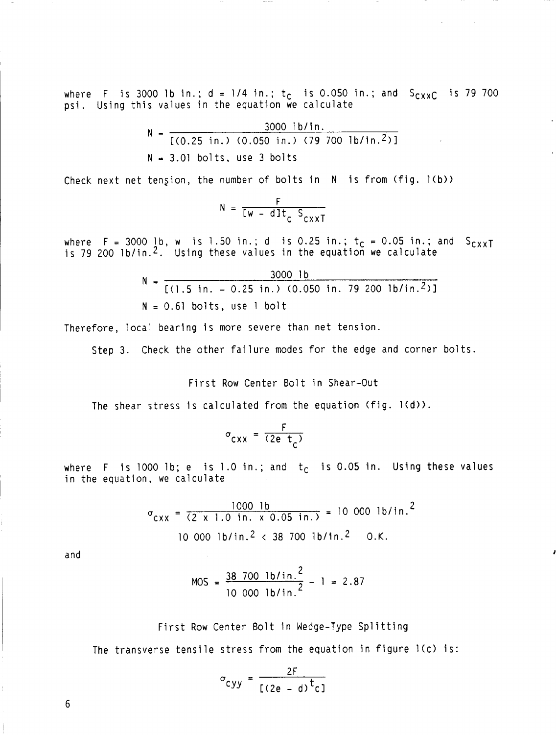where F is 3000 lb in.;  $d = 1/4$  in.;  $t_c$  is 0.050 in.; and  $S_{CXXC}$  is 79 700 psi. Using this values in the equation we calculate

$$
N = \frac{3000 \text{ lb/in.}}{[(0.25 \text{ in.}) (0.050 \text{ in.}) (79700 \text{ lb/in.}^2)]}
$$
  
N = 3.01 bolts, use 3 bolts

Check next net tension, the number of bolts in **N** is from (fig. l(b>)

$$
N = \frac{F}{[w - d]t_c} \frac{1}{S_{cxxT}}
$$

where F = 3000 lb, w is 1.50 in.; d is 0.25 in.;  $t_c$  = 0.05 in.; and S<sub>CXXT</sub> is 79 200 lb/in.2. Using these values in the equation we calculate

$$
N = \frac{3000 \text{ lb}}{[(1.5 \text{ in.} - 0.25 \text{ in.}) (0.050 \text{ in. } 79 \text{ 200 lb/in.}^2)]}
$$
  
N = 0.61 bolts, use 1 bolt

Therefore, local bearing is more severe than net tension.

Step 3. Check the other failure modes for the edge and corner bolts.

First Row Center Bolt in Shear-Out

The shear stress is calculated from the equation  $(fig. 1(d))$ .

$$
\sigma_{\text{CXX}} = \frac{F}{(2e \ t_c)}
$$

where F is 1000 lb; e is 1.0 in.; and  $t_c$  is 0.05 in. Using these values in the equation, we calculate

$$
\sigma_{\text{CXX}} = \frac{1000 \text{ lb}}{(2 \times 1.0 \text{ in.} \times 0.05 \text{ in.})} = 10000 \text{ lb/in.}^2
$$
  
10 000 lb/in.^2 < 38 700 lb/in.^2 O.K.

and

$$
MOS = \frac{38 \cdot 700 \cdot 1b/in.^{2}}{10 \cdot 000 \cdot 1b/in.^{2}} - 1 = 2.87
$$

# First Row Center Bolt in Wedge-Type Splitting

The transverse tensile stress from the equation in figure l(c) is:

$$
\sigma_{\text{cyy}} = \frac{2F}{[(2e - d)^{t}c]}
$$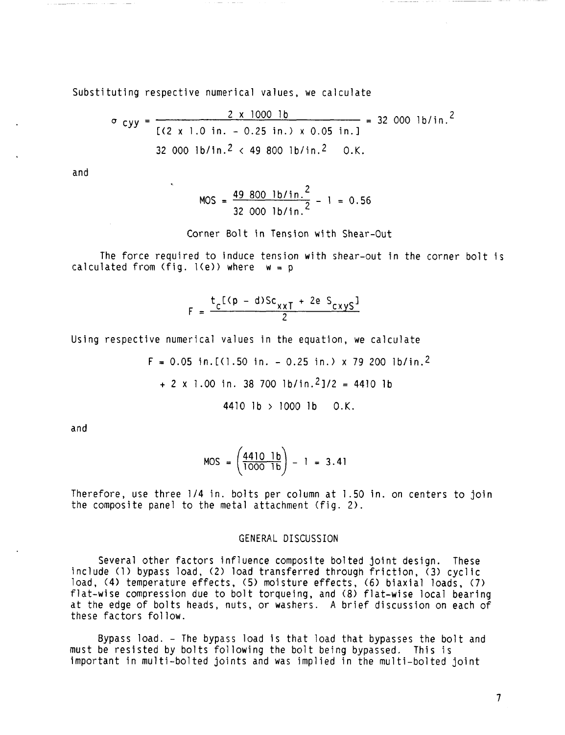Substituting respective numerical values, we calculate

$$
\sigma_{cyy} = \frac{2 \times 1000 \text{ lb}}{[(2 \times 1.0 \text{ in.} - 0.25 \text{ in.}) \times 0.05 \text{ in.}]} = 32\,000 \text{ lb/in.}^2
$$
  
32\,000 lb/in.^2 < 49\,800 lb/in.^2 0.K.

and

$$
MOS = \frac{49\,800\,1b/in.2}{32\,000\,1b/in.2} - 1 = 0.56
$$

Corner Bolt in Tension with Shear-Out

The force required to induce tension with shear-out in the corner bolt is calculated from (fig.  $1(e)$ ) where  $w = p$ 

$$
F = \frac{t_c[(p - d)Sc_{\chi\chi T} + 2e S_{\chi\chi\chi S}]^2}{2}
$$

Using respective numerical values in the equation, we calculate

 $F = 0.05$  in. [(1.50 in. - 0.25 in.) x 79 200 lb/in.<sup>2</sup> + **2** x 1.00 in. 38 700 lb/in.21/2 = 4410 lb 4410 lb > 1000 lb O.K.

and

$$
MOS = \left(\frac{4410 \quad 1b}{1000 \quad 1b}\right) - 1 = 3.41
$$

Therefore, use three 1/4 in. bolts per column at 1.50 in. on centers to join the composite panel to the metal attachment (fig. 2).

#### GENERAL **DISCUSSION**

Several other factors influence composite bolted joint design. These include (1) bypass load, **(2)** load transferred through friction, **(3)** cyclic load, (4) temperature effects, (5) moisture effects, (6) biaxial loads, (7) flat-wise compression due to bolt torqueing, and (8) flat-wise local bearing at the edge of bolts heads, nuts, or washers. **A** brief discussion on each of these factors follow.

Bypass load. - The bypass load is that load that bypasses the bolt and must be resisted by bolts following the bolt being bypassed. This is important in multi-bolted joints and was implied in the multi-bolted joint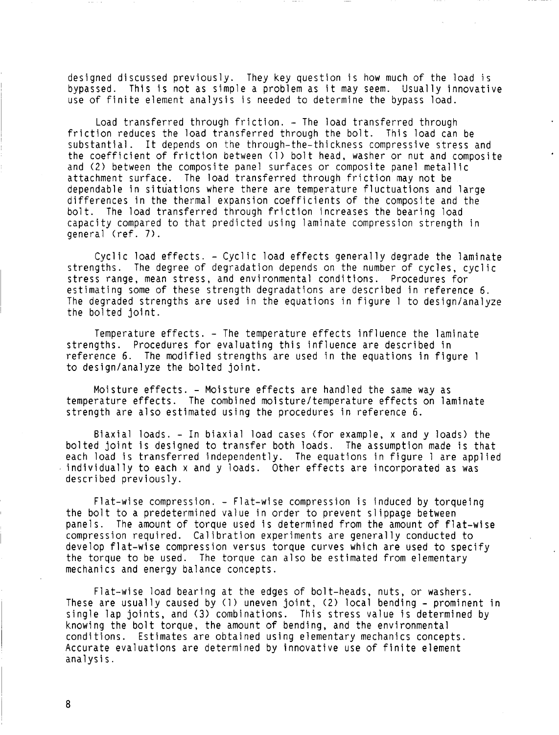designed discussed previously. They key question is how much of the load is bypassed. This is not as simple a problem as it may seem. Usually innovative use of finite element analysis is needed to determine the bypass load.

Load transferred through friction. - The load transferred through friction reduces the load transferred through the bolt. This load can be substantial. It depends on the through-the-thickness compressive stress and the coefficient of friction between (1) bolt head, washer or nut and composite and (2) between the composite panel surfaces or composite panel metallic attachment surface. The load transferred through friction may not be dependable in situations where there are temperature fluctuations and large differences in the thermal expansion coefficients of the composite and the bolt. The load transferred through friction increases the bearing load capacity compared to that predicted using laminate compression strength in general (ref. **7).** 

Cyclic load effects. - Cyclic load effects generally degrade the laminate strengths. The degree of degradation depends on the number of cycles, cyclic stress range, mean stress, and environmental conditions. Procedures for estimating some of these strength degradations are described in reference 6. The degraded strengths are used in the equations in figure 1 to design/analyze the bolted joint.

Temperature effects. - The temperature effects influence the laminate strengths. Procedures for evaluating this influence are described in reference 6. The modified strengths are used in the equations in figure 1 to design/analyze the bolted joint.

Moisture effects. - Moisture effects are handled the same way as temperature effects. The combined moistureltemperature effects on laminate strength are also estimated using the procedures in reference 6.

Biaxial loads. - In biaxial load cases (for example, x and y loads) the bolted joint is designed to transfer both loads. The assumption made is that each load is transferred independently. The equations in figure 1 are applied individually to each x and y loads. Other effects are incorporated as was described previously.

Flat-wise compression. - Flat-wise compression is induced by torqueing the bolt to a predetermined value in order to prevent slippage between panels. The amount of torque used is determined from the amount of flat-wise compression required. Calibration experiments are generally conducted to develop flat-wise compression versus torque curves which are used to specify the torque to be used. The torque can also be estimated from elementary mechanics and energy balance concepts.

Flat-wise load bearing at the edges of bolt-heads, nuts, or washers. These are usually caused by (1) uneven joint, (2) local bending - prominent in single lap joints, and **(3)** combinations. This stress value is determined by knowing the olt torque, the amount of bending, and the environmental conditions. Estimates are obtained using elementary mechanics concepts. Accurate evaluations are determined by innovative use of finite element analysi s.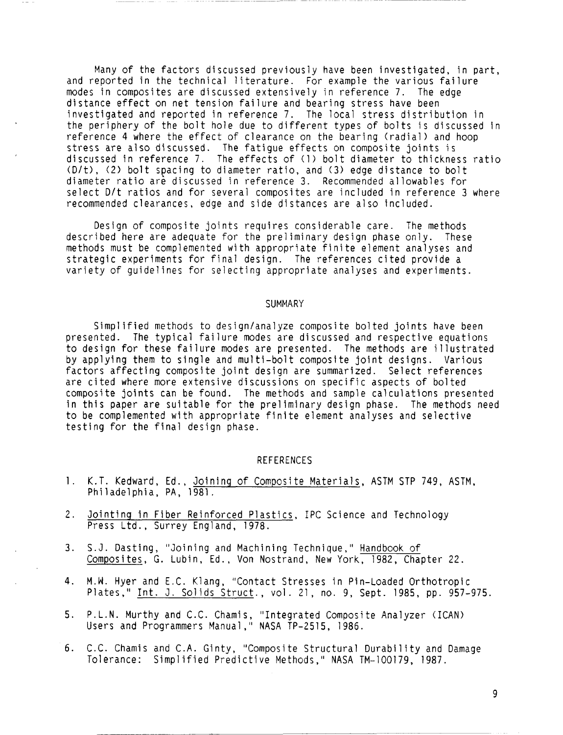Many of the factors discussed previously have been investigated, in part, and reported in the technical literature. For example the various failure modes in composites are discussed extensively in reference 7. The edge distance effect on net tension failure and bearing stress have been investigated and reported in reference 7. The local stress distribution in the periphery of the bolt hole due to different types of bolts is discussed in reference 4 where the effect of clearance on the bearing (radial) and hoop stress are also discussed. The fatigue effects on composite joints is discussed in reference 7. The effects of (1) bolt diameter to thickness ratio (D/t>, (2) bolt spacing to diameter ratio, and **(3)** edge distance to bolt diameter ratio are discussed in reference 3. Recommended allowables for select D/t ratios and for several composites are included in reference 3 where recommended clearances, edge and side distances are also included.

Design of composite joints requires considerable care. The methods described here are adequate for the preliminary design phase only. These methods must be complemented with appropriate finite element analyses and strategic experiments for final design. The references cited provide a variety of guidelines for selecting appropriate analyses and experiments.

#### SUMMARY

Simplified methods to designlanalyze composite bolted joints have been presented. The typical failure modes are discussed and respective equations to design for these failure modes are presented. The methods are illustrated by applying them to single and multi-bolt composite joint designs. Various factors affecting composite joint design are summarized. Select references are cited where more extensive discussions on specific aspects of bolted composite joints can be found. The methods and sample calculations presented in this paper are suitable for the preliminary design phase. The methods need to be complemented with appropriate finite element analyses and selective testing for the final design phase.

#### REFERENCES

- 1. K.T. Kedward, Ed., Joining of Composite Materials, ASTM STP 749, ASTM, Philadelphia, PA, 1981.
- 2. Jointing in Fiber Reinforced Plastics, IPC Science and Technology Press Ltd., Surrey England, 1978.
- 3. S.J. Dasting, "Joining and Machining Technique," Handbook of Composites, G. Lubin, Ed., Von Nostrand, New York, 1982, Chapter 22.
- 4. M.W. Hyer and E.C. Klang, "Contact Stresses in Pin-Loaded Orthotropic Plates," Int. J. Solids Struct., vol. 21, no. 9, Sept. 1985, pp. 957-975.
- 5. P.L.N. Murthy and C.C. Chamis, "Integrated Composite Analyzer (ICAN) Users and Programmers Manual," NASA TP-2515, 1986.
- 6. C.C. Chamis and C.A. Ginty, "Composite Structural Durability and Damage Tolerance: Simplified Predictive Methods," NASA TM-100179, 1987.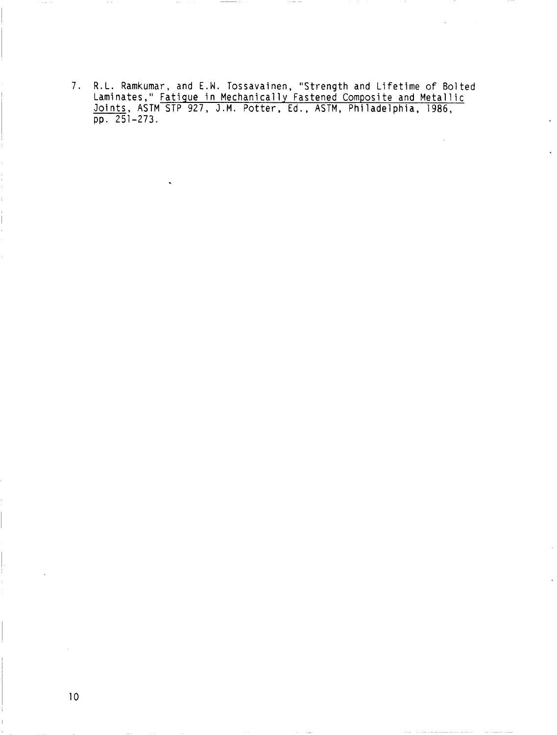**7. R.L. Ramkumar, and** E.W. **Tossavainen, "Strength and Lifetime** of **Bolted Laminates," Fatigue in Mechanically Fastened Composite and Metallic Joints, ASTM STP 927, J.M. Potter, Ed., ASTM, Philadelphia, 1986, pp. 251-273.**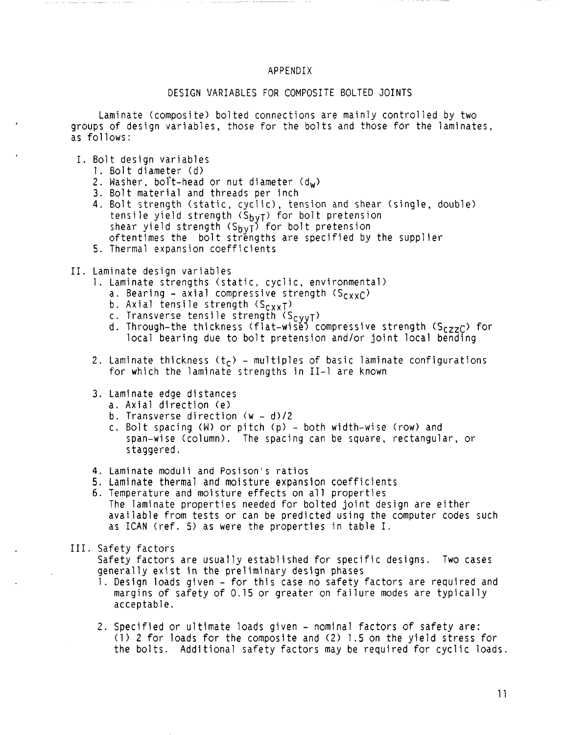## APPENDIX

# DESIGN VARIABLES FOR COMPOSITE BOLTED JOINTS

Laminate (composite) bolted connections are mainly controlled by two groups of design variables, those for the bolts and those for the laminates, as follows:

- I. Bolt design variables
	- 1. Bolt diameter (d>
	- 2. Washer, bolt-head or nut diameter  $(d_w)$
	- 3. Bolt material and threads per inch
	- 4. Bolt strength (static, cyclic), tension and shear (single, double) tensile yield strength (S<sub>bvT</sub>) for bolt pretension shear yield strength (S<sub>bvT</sub>) for bolt pretension oftentimes the bolt strengths are specified by the supplier
	- 5. Thermal expansion coefficients

## 11. Laminate design variables

- 1. Laminate strengths (static, cyclic, environmental)
	- a. Bearing axial compressive strength  $(S_{CXXC})$
	- b. Axial tensile strength  $(S_{CXXT})$
	- c. Transverse tensile strength (S<sub>CVVT</sub>)
	- d. Through-the thickness (flat-wisĕ) compressive strength (S<sub>CZZC</sub>) for local bearing due to bolt pretension and/or joint local bending
- 2. Laminate thickness  $(t_c)$  multiples of basic laminate configurations for which the laminate strengths in 11-1 are known

## 3. Laminate edge distances

- a. Axial direction (e>
- b. Transverse direction  $(w d)/2$
- c. Bolt spacing **(W)** or pitch (p) both width-wise (row) and span-wise (column). The spacing can be square, rectangular, or staggered.
- 4. Laminate moduli and Posison's ratios
- 5. Laminate thermal and moisture expansion coefficients
- 6. Temperature and moisture effects on all properties The laminate properties needed for bolted joint design are either available from tests or can be predicted using the computer codes such as ICAN (ref. 5) as were the properties in table I.

#### 111. Safety factors

Safety factors are usually established for specific designs. Two cases generally exist in the preliminary design phases

- 1. Design loads given for this case no safety factors are required and margins of safety of 0.15 or greater on failure modes are typically acceptable.
- 2. Specified or ultimate loads given nominal factors of safety are: (1) 2 for loads for the composite and (2) 1.5 on the yield stress for the bolts. Additional safety factors may be required for cyclic loads.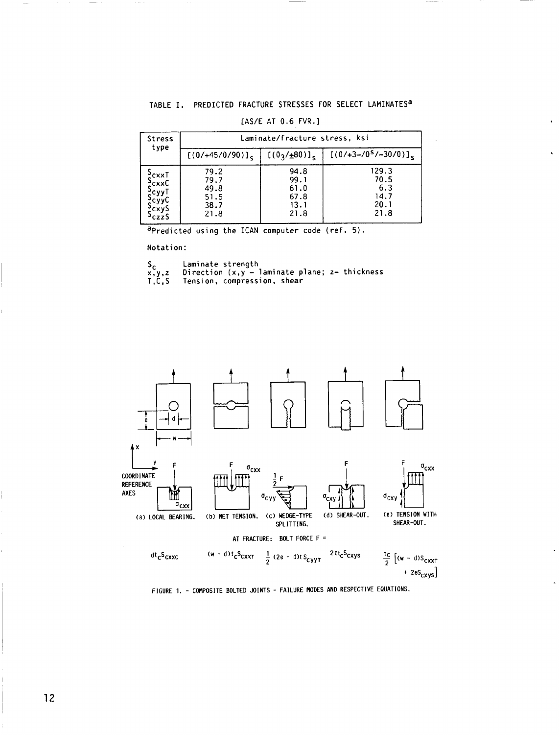# TABLE I. PREDICTED FRACTURE STRESSES FOR SELECT LAMINATES<sup>a</sup>

| <b>Stress</b><br>type                                 | Laminate/fracture stress, ksi                |                                              |                                              |  |
|-------------------------------------------------------|----------------------------------------------|----------------------------------------------|----------------------------------------------|--|
|                                                       | $[(0/+45/0/90)]_S$                           | [(0 <sub>3</sub> /±80)] <sub>5</sub> ]       | $[(0/+3-1/05/30/0)]_s$                       |  |
| $\frac{5}{2}$ cxxT<br>exxC<br>?cyyT<br>?сууС<br>?cxyS | 79.2<br>79.7<br>49.8<br>51.5<br>38.7<br>21.8 | 94.8<br>99.1<br>61.0<br>67.8<br>13.1<br>21.8 | 129.3<br>70.5<br>6.3<br>14.7<br>20.1<br>21.8 |  |

#### [AS/E AT 0.6 FVR.]

apredicted using the ICAN computer code (ref. 5).

Notation:

| s,      | Laminate strength                                                 |
|---------|-------------------------------------------------------------------|
| x, y, z | Direction $(x, y - \text{laminate plane}; z - \text{ thickness})$ |
| T C S   | Tension, compression, shear                                       |

on, compression, snea



FIGURE 1. - COMPOSITE BOLTED JOINTS - FAILURE MODES AND RESPECTIVE EQUATIONS.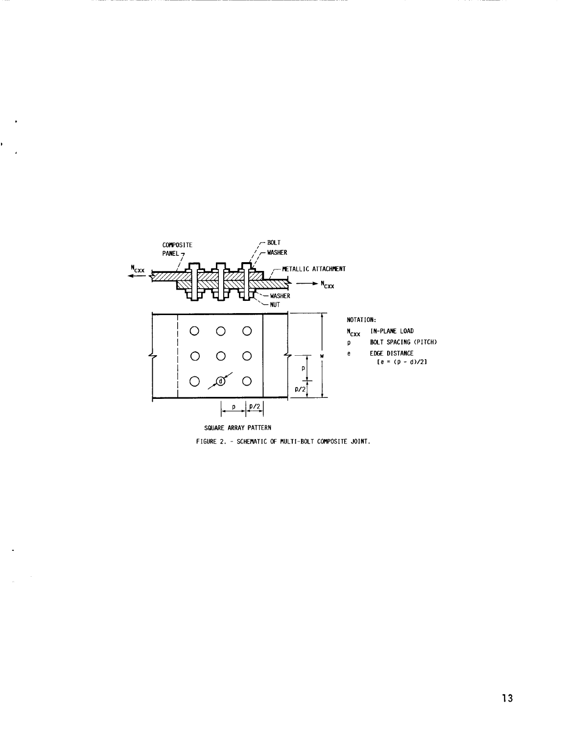

k,

 $\sim$   $\sim$  $\frac{1}{2}$ 

FIGURE 2. - SCHEMATIC OF MULTI-BOLT COMPOSITE JOINT.